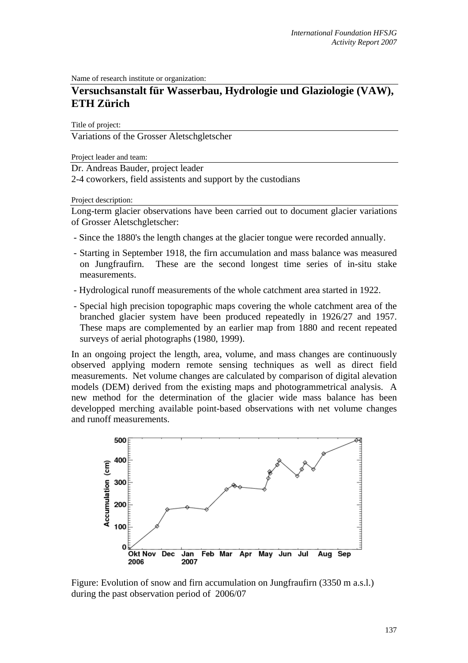Name of research institute or organization:

# **Versuchsanstalt für Wasserbau, Hydrologie und Glaziologie (VAW), ETH Zürich**

Title of project:

Variations of the Grosser Aletschgletscher

Project leader and team:

Dr. Andreas Bauder, project leader

2-4 coworkers, field assistents and support by the custodians

Project description:

Long-term glacier observations have been carried out to document glacier variations of Grosser Aletschgletscher:

- Since the 1880's the length changes at the glacier tongue were recorded annually.
- Starting in September 1918, the firn accumulation and mass balance was measured on Jungfraufirn. These are the second longest time series of in-situ stake measurements.
- Hydrological runoff measurements of the whole catchment area started in 1922.
- Special high precision topographic maps covering the whole catchment area of the branched glacier system have been produced repeatedly in 1926/27 and 1957. These maps are complemented by an earlier map from 1880 and recent repeated surveys of aerial photographs (1980, 1999).

In an ongoing project the length, area, volume, and mass changes are continuously observed applying modern remote sensing techniques as well as direct field measurements. Net volume changes are calculated by comparison of digital alevation models (DEM) derived from the existing maps and photogrammetrical analysis. A new method for the determination of the glacier wide mass balance has been developped merching available point-based observations with net volume changes and runoff measurements.



Figure: Evolution of snow and firn accumulation on Jungfraufirn (3350 m a.s.l.) during the past observation period of 2006/07